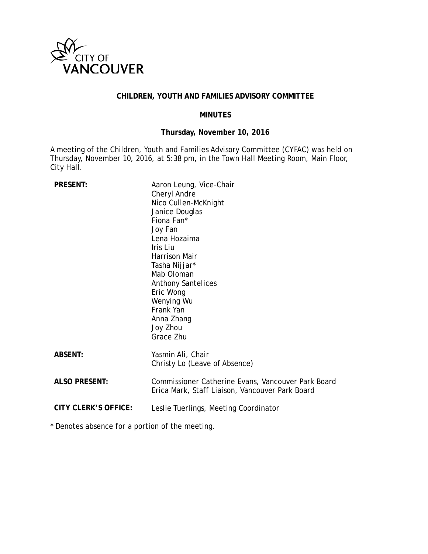

## **CHILDREN, YOUTH AND FAMILIES ADVISORY COMMITTEE**

### **MINUTES**

## **Thursday, November 10, 2016**

A meeting of the Children, Youth and Families Advisory Committee (CYFAC) was held on Thursday, November 10, 2016, at 5:38 pm, in the Town Hall Meeting Room, Main Floor, City Hall.

| <b>PRESENT:</b>      | Aaron Leung, Vice-Chair<br>Cheryl Andre<br>Nico Cullen-McKnight<br>Janice Douglas<br>Fiona Fan*<br>Joy Fan<br>Lena Hozaima<br>Iris Liu<br>Harrison Mair<br>Tasha Nijjar*<br>Mab Oloman<br><b>Anthony Santelices</b><br>Eric Wong<br>Wenying Wu<br>Frank Yan<br>Anna Zhang<br>Joy Zhou<br>Grace Zhu |
|----------------------|----------------------------------------------------------------------------------------------------------------------------------------------------------------------------------------------------------------------------------------------------------------------------------------------------|
| <b>ABSENT:</b>       | Yasmin Ali, Chair<br>Christy Lo (Leave of Absence)                                                                                                                                                                                                                                                 |
| <b>ALSO PRESENT:</b> | Commissioner Catherine Evans, Vancouver Park Board<br>Erica Mark, Staff Liaison, Vancouver Park Board                                                                                                                                                                                              |
| CITY CLERK'S OFFICE: | Leslie Tuerlings, Meeting Coordinator                                                                                                                                                                                                                                                              |

\* Denotes absence for a portion of the meeting.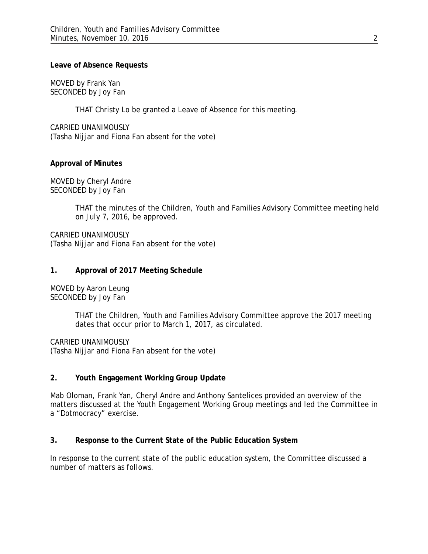### **Leave of Absence Requests**

MOVED by Frank Yan SECONDED by Joy Fan

THAT Christy Lo be granted a Leave of Absence for this meeting.

CARRIED UNANIMOUSLY (Tasha Nijjar and Fiona Fan absent for the vote)

### **Approval of Minutes**

MOVED by Cheryl Andre SECONDED by Joy Fan

> THAT the minutes of the Children, Youth and Families Advisory Committee meeting held on July 7, 2016, be approved.

CARRIED UNANIMOUSLY (Tasha Nijjar and Fiona Fan absent for the vote)

### **1. Approval of 2017 Meeting Schedule**

MOVED by Aaron Leung SECONDED by Joy Fan

> THAT the Children, Youth and Families Advisory Committee approve the 2017 meeting dates that occur prior to March 1, 2017, as circulated.

CARRIED UNANIMOUSLY (Tasha Nijjar and Fiona Fan absent for the vote)

## **2. Youth Engagement Working Group Update**

Mab Oloman, Frank Yan, Cheryl Andre and Anthony Santelices provided an overview of the matters discussed at the Youth Engagement Working Group meetings and led the Committee in a "Dotmocracy" exercise.

## **3. Response to the Current State of the Public Education System**

In response to the current state of the public education system, the Committee discussed a number of matters as follows.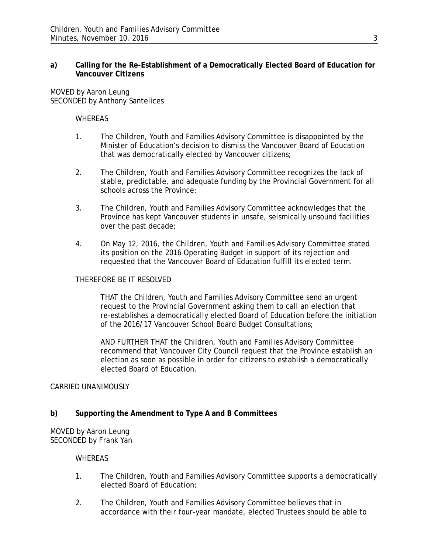## **a) Calling for the Re-Establishment of a Democratically Elected Board of Education for Vancouver Citizens**

MOVED by Aaron Leung SECONDED by Anthony Santelices

#### WHEREAS

- 1. The Children, Youth and Families Advisory Committee is disappointed by the Minister of Education's decision to dismiss the Vancouver Board of Education that was democratically elected by Vancouver citizens;
- 2. The Children, Youth and Families Advisory Committee recognizes the lack of stable, predictable, and adequate funding by the Provincial Government for all schools across the Province;
- 3. The Children, Youth and Families Advisory Committee acknowledges that the Province has kept Vancouver students in unsafe, seismically unsound facilities over the past decade;
- 4. On May 12, 2016, the Children, Youth and Families Advisory Committee stated its position on the 2016 Operating Budget in support of its rejection and requested that the Vancouver Board of Education fulfill its elected term.

#### THEREFORE BE IT RESOLVED

THAT the Children, Youth and Families Advisory Committee send an urgent request to the Provincial Government asking them to call an election that re-establishes a democratically elected Board of Education before the initiation of the 2016/17 Vancouver School Board Budget Consultations;

AND FURTHER THAT the Children, Youth and Families Advisory Committee recommend that Vancouver City Council request that the Province establish an election as soon as possible in order for citizens to establish a democratically elected Board of Education.

## CARRIED UNANIMOUSLY

## **b) Supporting the Amendment to Type A and B Committees**

MOVED by Aaron Leung SECONDED by Frank Yan

#### WHEREAS

- 1. The Children, Youth and Families Advisory Committee supports a democratically elected Board of Education;
- 2. The Children, Youth and Families Advisory Committee believes that in accordance with their four-year mandate, elected Trustees should be able to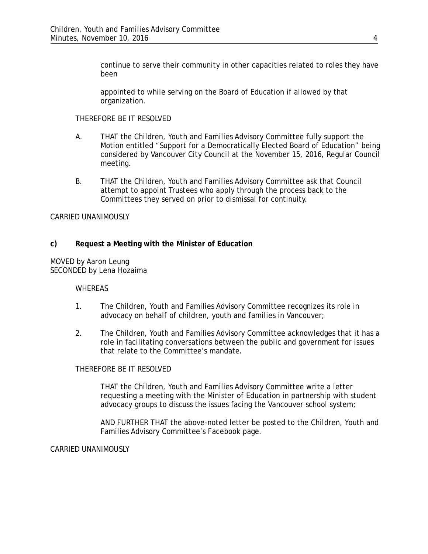continue to serve their community in other capacities related to roles they have been

appointed to while serving on the Board of Education if allowed by that organization.

#### THEREFORE BE IT RESOLVED

- A. THAT the Children, Youth and Families Advisory Committee fully support the Motion entitled "Support for a Democratically Elected Board of Education" being considered by Vancouver City Council at the November 15, 2016, Regular Council meeting.
- B. THAT the Children, Youth and Families Advisory Committee ask that Council attempt to appoint Trustees who apply through the process back to the Committees they served on prior to dismissal for continuity.

### CARRIED UNANIMOUSLY

## **c) Request a Meeting with the Minister of Education**

MOVED by Aaron Leung SECONDED by Lena Hozaima

#### WHEREAS

- 1. The Children, Youth and Families Advisory Committee recognizes its role in advocacy on behalf of children, youth and families in Vancouver;
- 2. The Children, Youth and Families Advisory Committee acknowledges that it has a role in facilitating conversations between the public and government for issues that relate to the Committee's mandate.

#### THEREFORE BE IT RESOLVED

THAT the Children, Youth and Families Advisory Committee write a letter requesting a meeting with the Minister of Education in partnership with student advocacy groups to discuss the issues facing the Vancouver school system;

AND FURTHER THAT the above-noted letter be posted to the Children, Youth and Families Advisory Committee's Facebook page.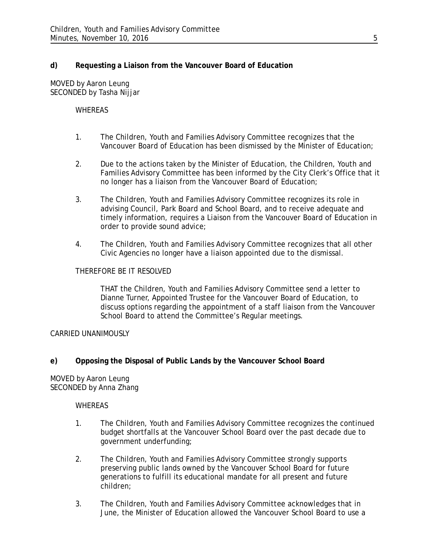## **d) Requesting a Liaison from the Vancouver Board of Education**

MOVED by Aaron Leung SECONDED by Tasha Nijjar

### **WHEREAS**

- 1. The Children, Youth and Families Advisory Committee recognizes that the Vancouver Board of Education has been dismissed by the Minister of Education;
- 2. Due to the actions taken by the Minister of Education, the Children, Youth and Families Advisory Committee has been informed by the City Clerk's Office that it no longer has a liaison from the Vancouver Board of Education;
- 3. The Children, Youth and Families Advisory Committee recognizes its role in advising Council, Park Board and School Board, and to receive adequate and timely information, requires a Liaison from the Vancouver Board of Education in order to provide sound advice;
- 4. The Children, Youth and Families Advisory Committee recognizes that all other Civic Agencies no longer have a liaison appointed due to the dismissal.

### THEREFORE BE IT RESOLVED

THAT the Children, Youth and Families Advisory Committee send a letter to Dianne Turner, Appointed Trustee for the Vancouver Board of Education, to discuss options regarding the appointment of a staff liaison from the Vancouver School Board to attend the Committee's Regular meetings.

CARRIED UNANIMOUSLY

## **e) Opposing the Disposal of Public Lands by the Vancouver School Board**

MOVED by Aaron Leung SECONDED by Anna Zhang

#### **WHEREAS**

- 1. The Children, Youth and Families Advisory Committee recognizes the continued budget shortfalls at the Vancouver School Board over the past decade due to government underfunding;
- 2. The Children, Youth and Families Advisory Committee strongly supports preserving public lands owned by the Vancouver School Board for future generations to fulfill its educational mandate for all present and future children;
- 3. The Children, Youth and Families Advisory Committee acknowledges that in June, the Minister of Education allowed the Vancouver School Board to use a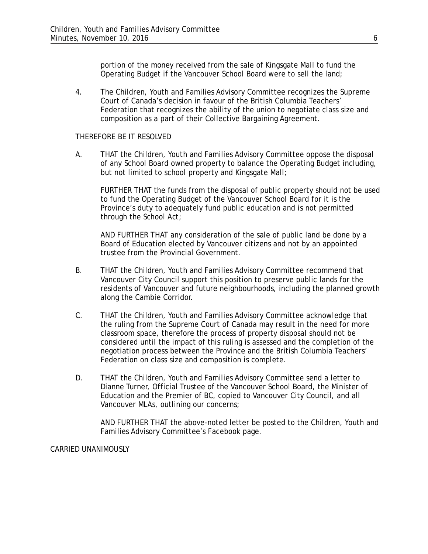portion of the money received from the sale of Kingsgate Mall to fund the Operating Budget if the Vancouver School Board were to sell the land;

4. The Children, Youth and Families Advisory Committee recognizes the Supreme Court of Canada's decision in favour of the British Columbia Teachers' Federation that recognizes the ability of the union to negotiate class size and composition as a part of their Collective Bargaining Agreement.

#### THEREFORE BE IT RESOLVED

A. THAT the Children, Youth and Families Advisory Committee oppose the disposal of any School Board owned property to balance the Operating Budget including, but not limited to school property and Kingsgate Mall;

FURTHER THAT the funds from the disposal of public property should not be used to fund the Operating Budget of the Vancouver School Board for it is the Province's duty to adequately fund public education and is not permitted through the *School Act*;

AND FURTHER THAT any consideration of the sale of public land be done by a Board of Education elected by Vancouver citizens and not by an appointed trustee from the Provincial Government.

- B. THAT the Children, Youth and Families Advisory Committee recommend that Vancouver City Council support this position to preserve public lands for the residents of Vancouver and future neighbourhoods, including the planned growth along the Cambie Corridor.
- C. THAT the Children, Youth and Families Advisory Committee acknowledge that the ruling from the Supreme Court of Canada may result in the need for more classroom space, therefore the process of property disposal should not be considered until the impact of this ruling is assessed and the completion of the negotiation process between the Province and the British Columbia Teachers' Federation on class size and composition is complete.
- D. THAT the Children, Youth and Families Advisory Committee send a letter to Dianne Turner, Official Trustee of the Vancouver School Board, the Minister of Education and the Premier of BC, copied to Vancouver City Council, and all Vancouver MLAs, outlining our concerns;

AND FURTHER THAT the above-noted letter be posted to the Children, Youth and Families Advisory Committee's Facebook page.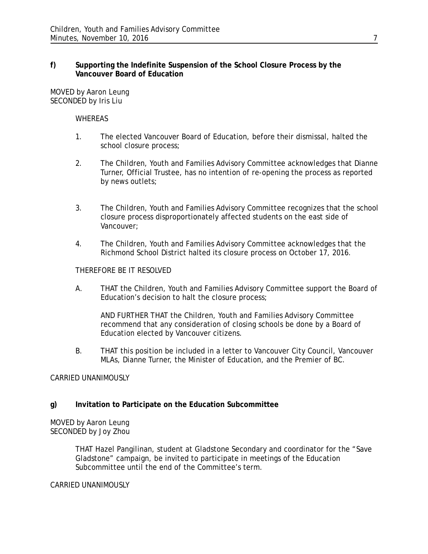### **f) Supporting the Indefinite Suspension of the School Closure Process by the Vancouver Board of Education**

MOVED by Aaron Leung SECONDED by Iris Liu

#### WHEREAS

- 1. The elected Vancouver Board of Education, before their dismissal, halted the school closure process;
- 2. The Children, Youth and Families Advisory Committee acknowledges that Dianne Turner, Official Trustee, has no intention of re-opening the process as reported by news outlets;
- 3. The Children, Youth and Families Advisory Committee recognizes that the school closure process disproportionately affected students on the east side of Vancouver;
- 4. The Children, Youth and Families Advisory Committee acknowledges that the Richmond School District halted its closure process on October 17, 2016.

### THEREFORE BE IT RESOLVED

A. THAT the Children, Youth and Families Advisory Committee support the Board of Education's decision to halt the closure process;

AND FURTHER THAT the Children, Youth and Families Advisory Committee recommend that any consideration of closing schools be done by a Board of Education elected by Vancouver citizens.

B. THAT this position be included in a letter to Vancouver City Council, Vancouver MLAs, Dianne Turner, the Minister of Education, and the Premier of BC.

#### CARRIED UNANIMOUSLY

## **g) Invitation to Participate on the Education Subcommittee**

MOVED by Aaron Leung SECONDED by Joy Zhou

> THAT Hazel Pangilinan, student at Gladstone Secondary and coordinator for the "Save Gladstone" campaign, be invited to participate in meetings of the Education Subcommittee until the end of the Committee's term.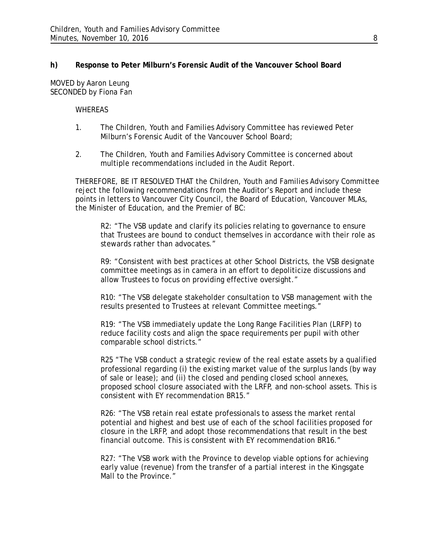## **h) Response to Peter Milburn's Forensic Audit of the Vancouver School Board**

MOVED by Aaron Leung SECONDED by Fiona Fan

#### WHEREAS

- 1. The Children, Youth and Families Advisory Committee has reviewed Peter Milburn's Forensic Audit of the Vancouver School Board;
- 2. The Children, Youth and Families Advisory Committee is concerned about multiple recommendations included in the Audit Report.

THEREFORE, BE IT RESOLVED THAT the Children, Youth and Families Advisory Committee reject the following recommendations from the Auditor's Report and include these points in letters to Vancouver City Council, the Board of Education, Vancouver MLAs, the Minister of Education, and the Premier of BC:

R2: "The VSB update and clarify its policies relating to governance to ensure that Trustees are bound to conduct themselves in accordance with their role as stewards rather than advocates."

R9: "Consistent with best practices at other School Districts, the VSB designate committee meetings as in camera in an effort to depoliticize discussions and allow Trustees to focus on providing effective oversight."

R10: "The VSB delegate stakeholder consultation to VSB management with the results presented to Trustees at relevant Committee meetings."

R19: "The VSB immediately update the Long Range Facilities Plan (LRFP) to reduce facility costs and align the space requirements per pupil with other comparable school districts."

R25 "The VSB conduct a strategic review of the real estate assets by a qualified professional regarding (i) the existing market value of the surplus lands (by way of sale or lease); and (ii) the closed and pending closed school annexes, proposed school closure associated with the LRFP, and non-school assets. This is consistent with EY recommendation BR15."

R26: "The VSB retain real estate professionals to assess the market rental potential and highest and best use of each of the school facilities proposed for closure in the LRFP, and adopt those recommendations that result in the best financial outcome. This is consistent with EY recommendation BR16."

R27: "The VSB work with the Province to develop viable options for achieving early value (revenue) from the transfer of a partial interest in the Kingsgate Mall to the Province."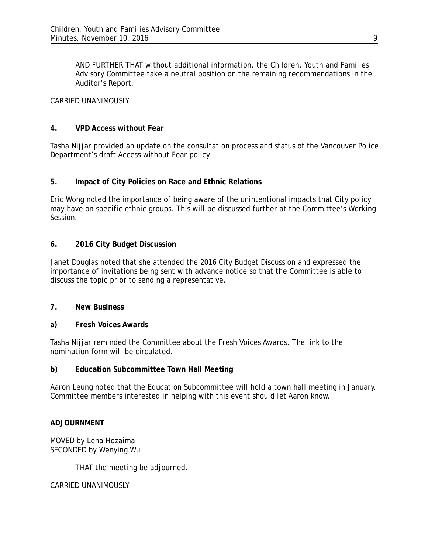AND FURTHER THAT without additional information, the Children, Youth and Families Advisory Committee take a neutral position on the remaining recommendations in the Auditor's Report.

CARRIED UNANIMOUSLY

### **4. VPD Access without Fear**

Tasha Nijjar provided an update on the consultation process and status of the Vancouver Police Department's draft Access without Fear policy.

## **5. Impact of City Policies on Race and Ethnic Relations**

Eric Wong noted the importance of being aware of the unintentional impacts that City policy may have on specific ethnic groups. This will be discussed further at the Committee's Working Session.

## **6. 2016 City Budget Discussion**

Janet Douglas noted that she attended the 2016 City Budget Discussion and expressed the importance of invitations being sent with advance notice so that the Committee is able to discuss the topic prior to sending a representative.

#### **7. New Business**

#### **a) Fresh Voices Awards**

Tasha Nijjar reminded the Committee about the Fresh Voices Awards. The link to the nomination form will be circulated.

#### **b) Education Subcommittee Town Hall Meeting**

Aaron Leung noted that the Education Subcommittee will hold a town hall meeting in January. Committee members interested in helping with this event should let Aaron know.

## **ADJOURNMENT**

MOVED by Lena Hozaima SECONDED by Wenying Wu

THAT the meeting be adjourned.